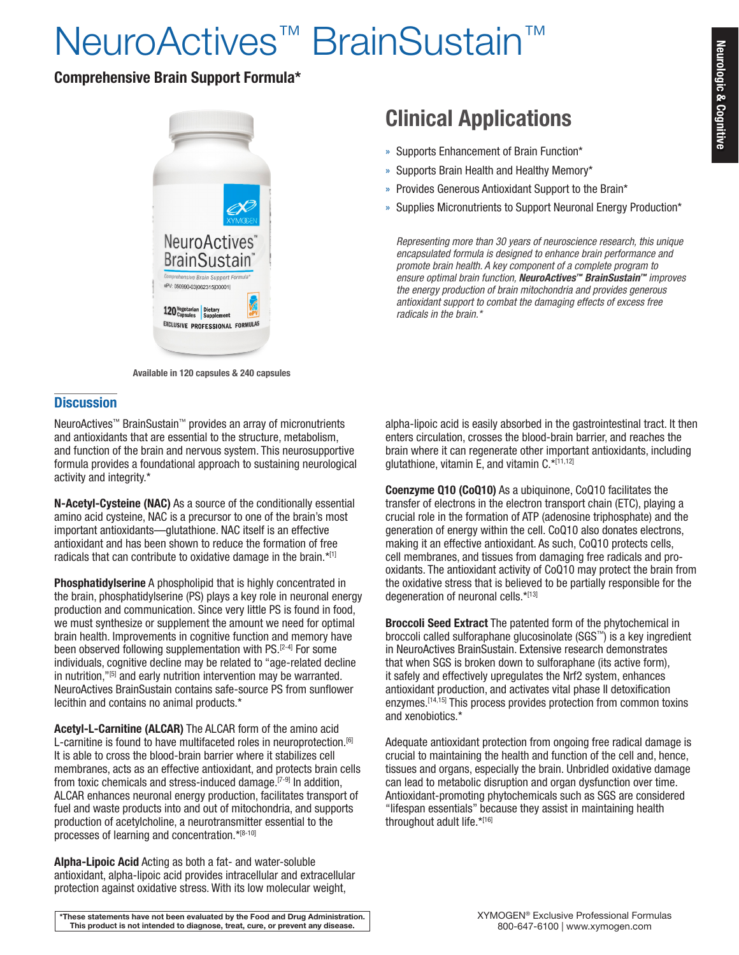# NeuroActives<sup>™</sup> BrainSustain<sup>™</sup>

## Comprehensive Brain Support Formula\*



Available in 120 capsules & 240 capsules

### **Discussion**

NeuroActives™ BrainSustain™ provides an array of micronutrients and antioxidants that are essential to the structure, metabolism, and function of the brain and nervous system. This neurosupportive formula provides a foundational approach to sustaining neurological activity and integrity.\*

N-Acetyl-Cysteine (NAC) As a source of the conditionally essential amino acid cysteine, NAC is a precursor to one of the brain's most important antioxidants—glutathione. NAC itself is an effective antioxidant and has been shown to reduce the formation of free radicals that can contribute to oxidative damage in the brain.\*[1]

Phosphatidylserine A phospholipid that is highly concentrated in the brain, phosphatidylserine (PS) plays a key role in neuronal energy production and communication. Since very little PS is found in food, we must synthesize or supplement the amount we need for optimal brain health. Improvements in cognitive function and memory have been observed following supplementation with PS.<sup>[2-4]</sup> For some individuals, cognitive decline may be related to "age-related decline in nutrition,"<sup>[5]</sup> and early nutrition intervention may be warranted. NeuroActives BrainSustain contains safe-source PS from sunflower lecithin and contains no animal products.\*

Acetyl-L-Carnitine (ALCAR) The ALCAR form of the amino acid L-carnitine is found to have multifaceted roles in neuroprotection.<sup>[6]</sup> It is able to cross the blood-brain barrier where it stabilizes cell membranes, acts as an effective antioxidant, and protects brain cells from toxic chemicals and stress-induced damage.<sup>[7-9]</sup> In addition, ALCAR enhances neuronal energy production, facilitates transport of fuel and waste products into and out of mitochondria, and supports production of acetylcholine, a neurotransmitter essential to the processes of learning and concentration.\*[8-10]

Alpha-Lipoic Acid Acting as both a fat- and water-soluble antioxidant, alpha-lipoic acid provides intracellular and extracellular protection against oxidative stress. With its low molecular weight,

Clinical Applications

- » Supports Enhancement of Brain Function\*
- » Supports Brain Health and Healthy Memory\*
- » Provides Generous Antioxidant Support to the Brain\*
- » Supplies Micronutrients to Support Neuronal Energy Production\*

*Representing more than 30 years of neuroscience research, this unique encapsulated formula is designed to enhance brain performance and promote brain health. A key component of a complete program to ensure optimal brain function, NeuroActives™ BrainSustain™ improves the energy production of brain mitochondria and provides generous antioxidant support to combat the damaging effects of excess free radicals in the brain.\**

alpha-lipoic acid is easily absorbed in the gastrointestinal tract. It then enters circulation, crosses the blood-brain barrier, and reaches the brain where it can regenerate other important antioxidants, including glutathione, vitamin E, and vitamin  $C^{\star[11,12]}$ 

Coenzyme Q10 (CoQ10) As a ubiquinone, CoQ10 facilitates the transfer of electrons in the electron transport chain (ETC), playing a crucial role in the formation of ATP (adenosine triphosphate) and the generation of energy within the cell. CoQ10 also donates electrons, making it an effective antioxidant. As such, CoQ10 protects cells, cell membranes, and tissues from damaging free radicals and prooxidants. The antioxidant activity of CoQ10 may protect the brain from the oxidative stress that is believed to be partially responsible for the degeneration of neuronal cells.\*[13]

Broccoli Seed Extract The patented form of the phytochemical in broccoli called sulforaphane glucosinolate (SGS™) is a key ingredient in NeuroActives BrainSustain. Extensive research demonstrates that when SGS is broken down to sulforaphane (its active form), it safely and effectively upregulates the Nrf2 system, enhances antioxidant production, and activates vital phase II detoxification enzymes.<sup>[14,15]</sup> This process provides protection from common toxins and xenobiotics.\*

Adequate antioxidant protection from ongoing free radical damage is crucial to maintaining the health and function of the cell and, hence, tissues and organs, especially the brain. Unbridled oxidative damage can lead to metabolic disruption and organ dysfunction over time. Antioxidant-promoting phytochemicals such as SGS are considered "lifespan essentials" because they assist in maintaining health throughout adult life.\*[16]